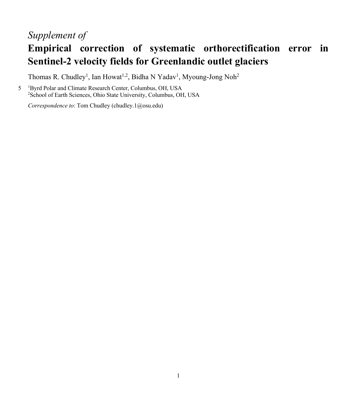## *Supplement of*

## **Empirical correction of systematic orthorectification error in Sentinel-2 velocity fields for Greenlandic outlet glaciers**

Thomas R. Chudley<sup>1</sup>, Ian Howat<sup>1,2</sup>, Bidha N Yadav<sup>1</sup>, Myoung-Jong Noh<sup>2</sup>

5 <sup>1</sup>Byrd Polar and Climate Research Center, Columbus, OH, USA 2 School of Earth Sciences, Ohio State University, Columbus, OH, USA

*Correspondence to*: Tom Chudley (chudley.1@osu.edu)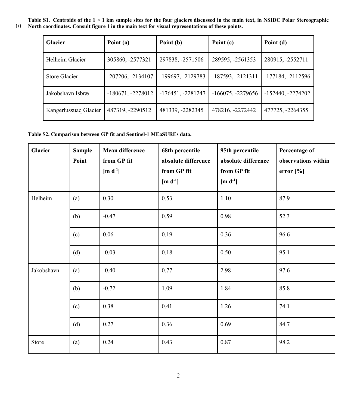**Table S1. Centroids of the 1 × 1 km sample sites for the four glaciers discussed in the main text, in NSIDC Polar Stereographic**  10 **North coordinates. Consult figure 1 in the main text for visual representations of these points.**

| <b>Glacier</b>        | Point (a)           | Point (b)           | Point (c)           | Point (d)           |
|-----------------------|---------------------|---------------------|---------------------|---------------------|
| Helheim Glacier       | 305860, -2577321    | 297838, -2571506    | 289595, -2561353    | 280915, -2552711    |
| Store Glacier         | $-207206, -2134107$ | -199697, -2129783   | $-187593, -2121311$ | $-177184, -2112596$ |
| Jakobshavn Isbræ      | $-180671, -2278012$ | $-176451, -2281247$ | $-166075, -2279656$ | $-152440, -2274202$ |
| Kangerlussuag Glacier | 487319, -2290512    | 481339, -2282345    | 478216, -2272442    | 477725, -2264355    |

**Table S2. Comparison between GP fit and Sentinel-1 MEaSUREs data.**

| <b>Glacier</b> | <b>Sample</b><br>Point | <b>Mean difference</b><br>from GP fit<br>$[m d-1]$ | 68th percentile<br>absolute difference<br>from GP fit<br>$[m d-1]$ | 95th percentile<br>absolute difference<br>from GP fit<br>[m $d^{-1}$ ] | Percentage of<br>observations within<br>error $[\%]$ |
|----------------|------------------------|----------------------------------------------------|--------------------------------------------------------------------|------------------------------------------------------------------------|------------------------------------------------------|
| Helheim        | (a)                    | 0.30                                               | 0.53                                                               | 1.10                                                                   | 87.9                                                 |
|                | (b)                    | $-0.47$                                            | 0.59                                                               | 0.98                                                                   | 52.3                                                 |
|                | (c)                    | 0.06                                               | 0.19                                                               | 0.36                                                                   | 96.6                                                 |
|                | (d)                    | $-0.03$                                            | 0.18                                                               | 0.50                                                                   | 95.1                                                 |
| Jakobshavn     | (a)                    | $-0.40$                                            | 0.77                                                               | 2.98                                                                   | 97.6                                                 |
|                | (b)                    | $-0.72$                                            | 1.09                                                               | 1.84                                                                   | 85.8                                                 |
|                | (c)                    | 0.38                                               | 0.41                                                               | 1.26                                                                   | 74.1                                                 |
|                | (d)                    | 0.27                                               | 0.36                                                               | 0.69                                                                   | 84.7                                                 |
| Store          | (a)                    | 0.24                                               | 0.43                                                               | 0.87                                                                   | 98.2                                                 |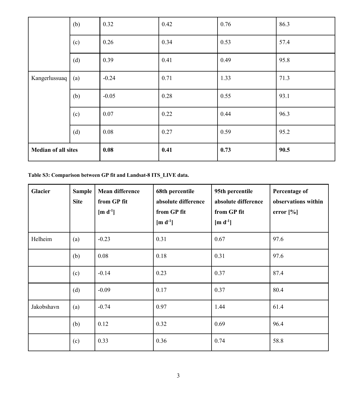|                            | (b) | 0.32    | 0.42 | 0.76 | 86.3 |
|----------------------------|-----|---------|------|------|------|
|                            | (c) | 0.26    | 0.34 | 0.53 | 57.4 |
|                            | (d) | 0.39    | 0.41 | 0.49 | 95.8 |
| Kangerlussuaq              | (a) | $-0.24$ | 0.71 | 1.33 | 71.3 |
|                            | (b) | $-0.05$ | 0.28 | 0.55 | 93.1 |
|                            | (c) | 0.07    | 0.22 | 0.44 | 96.3 |
|                            | (d) | 0.08    | 0.27 | 0.59 | 95.2 |
| <b>Median of all sites</b> |     | 0.08    | 0.41 | 0.73 | 90.5 |

**Table S3: Comparison between GP fit and Landsat-8 ITS\_LIVE data.**

| <b>Glacier</b> | <b>Sample</b><br><b>Site</b> | <b>Mean difference</b><br>from GP fit<br>[m $d^{-1}$ ] | 68th percentile<br>absolute difference<br>from GP fit<br>$[m d^{-1}]$ | 95th percentile<br>absolute difference<br>from GP fit<br>$\left[\text{m d}^{-1}\right]$ | Percentage of<br>observations within<br>error $[\%]$ |
|----------------|------------------------------|--------------------------------------------------------|-----------------------------------------------------------------------|-----------------------------------------------------------------------------------------|------------------------------------------------------|
| Helheim        | (a)                          | $-0.23$                                                | 0.31                                                                  | 0.67                                                                                    | 97.6                                                 |
|                | (b)                          | 0.08                                                   | 0.18                                                                  | 0.31                                                                                    | 97.6                                                 |
|                | (c)                          | $-0.14$                                                | 0.23                                                                  | 0.37                                                                                    | 87.4                                                 |
|                | (d)                          | $-0.09$                                                | 0.17                                                                  | 0.37                                                                                    | 80.4                                                 |
| Jakobshavn     | (a)                          | $-0.74$                                                | 0.97                                                                  | 1.44                                                                                    | 61.4                                                 |
|                | (b)                          | 0.12                                                   | 0.32                                                                  | 0.69                                                                                    | 96.4                                                 |
|                | (c)                          | 0.33                                                   | 0.36                                                                  | 0.74                                                                                    | 58.8                                                 |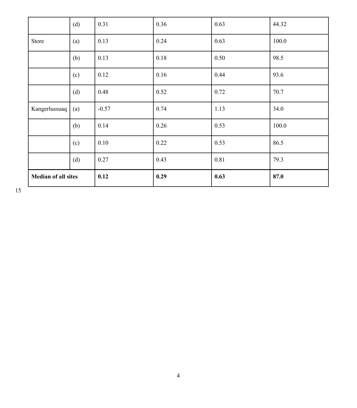|                            | (d) | 0.31    | 0.36 | 0.63 | 44.32 |
|----------------------------|-----|---------|------|------|-------|
| Store                      | (a) | 0.13    | 0.24 | 0.63 | 100.0 |
|                            | (b) | 0.13    | 0.18 | 0.50 | 98.5  |
|                            | (c) | 0.12    | 0.16 | 0.44 | 93.6  |
|                            | (d) | 0.48    | 0.52 | 0.72 | 70.7  |
| Kangerlussuaq              | (a) | $-0.57$ | 0.74 | 1.13 | 34.0  |
|                            | (b) | 0.14    | 0.26 | 0.53 | 100.0 |
|                            | (c) | 0.10    | 0.22 | 0.53 | 86.5  |
|                            | (d) | 0.27    | 0.43 | 0.81 | 79.3  |
| <b>Median of all sites</b> |     | 0.12    | 0.29 | 0.63 | 87.0  |

15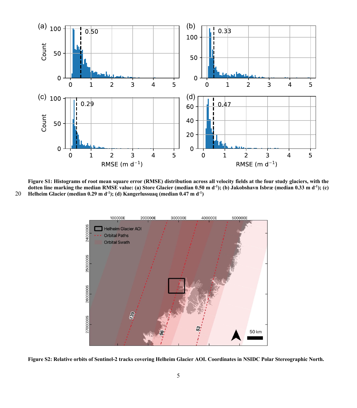

Figure S1: Histograms of root mean square error (RMSE) distribution across all velocity fields at the four study glaciers, with the dotten line marking the median RMSE value: (a) Store Glacier (median 0.50 m d<sup>-1</sup>); (b) Jakobshavn Isbræ (median 0.33 m d<sup>-1</sup>); (c) **Helheim Glacier (median 0.29 m d-1 ); (d) Kangerlussuaq (median 0.47 m d-1** 20 **)**



**Figure S2: Relative orbits of Sentinel-2 tracks covering Helheim Glacier AOI. Coordinates in NSIDC Polar Stereographic North.**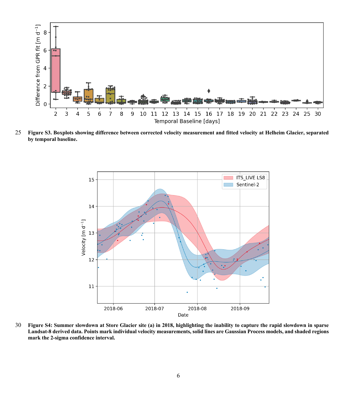

25 **Figure S3. Boxplots showing difference between corrected velocity measurement and fitted velocity at Helheim Glacier, separated by temporal baseline.**



30 **Figure S4: Summer slowdown at Store Glacier site (a) in 2018, highlighting the inability to capture the rapid slowdown in sparse Landsat-8 derived data. Points mark individual velocity measurements, solid lines are Gaussian Process models, and shaded regions mark the 2-sigma confidence interval.**